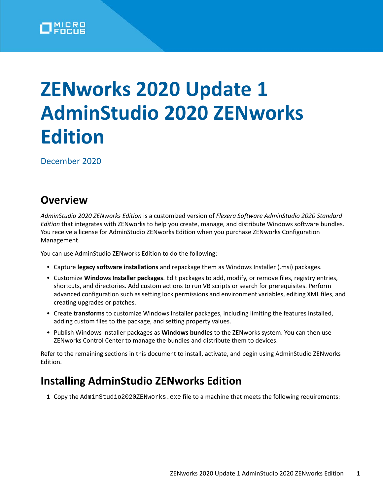

# **ZENworks 2020 Update 1 AdminStudio 2020 ZENworks Edition**

December 2020

#### **Overview**

*AdminStudio 2020 ZENworks Edition* is a customized version of *Flexera Software AdminStudio 2020 Standard Edition* that integrates with ZENworks to help you create, manage, and distribute Windows software bundles. You receive a license for AdminStudio ZENworks Edition when you purchase ZENworks Configuration Management.

You can use AdminStudio ZENworks Edition to do the following:

- Capture **legacy software installations** and repackage them as Windows Installer (.msi) packages.
- Customize **Windows Installer packages**. Edit packages to add, modify, or remove files, registry entries, shortcuts, and directories. Add custom actions to run VB scripts or search for prerequisites. Perform advanced configuration such as setting lock permissions and environment variables, editing XML files, and creating upgrades or patches.
- Create **transforms** to customize Windows Installer packages, including limiting the features installed, adding custom files to the package, and setting property values.
- Publish Windows Installer packages as **Windows bundles** to the ZENworks system. You can then use ZENworks Control Center to manage the bundles and distribute them to devices.

Refer to the remaining sections in this document to install, activate, and begin using AdminStudio ZENworks Edition.

## **Installing AdminStudio ZENworks Edition**

1 Copy the AdminStudio2020ZENworks.exe file to a machine that meets the following requirements: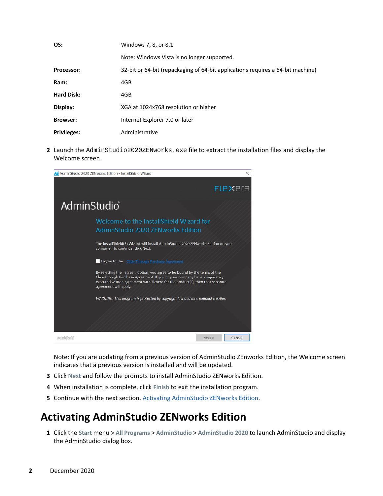| OS:                | Windows 7, 8, or 8.1                                                            |  |  |
|--------------------|---------------------------------------------------------------------------------|--|--|
|                    | Note: Windows Vista is no longer supported.                                     |  |  |
| Processor:         | 32-bit or 64-bit (repackaging of 64-bit applications requires a 64-bit machine) |  |  |
| Ram:               | 4GB                                                                             |  |  |
| <b>Hard Disk:</b>  | 4GB                                                                             |  |  |
| Display:           | XGA at 1024x768 resolution or higher                                            |  |  |
| <b>Browser:</b>    | Internet Explorer 7.0 or later                                                  |  |  |
| <b>Privileges:</b> | Administrative                                                                  |  |  |

**2** Launch the AdminStudio2020ZENworks.exe file to extract the installation files and display the Welcome screen.



Note: If you are updating from a previous version of AdminStudio ZEnworks Edition, the Welcome screen indicates that a previous version is installed and will be updated.

- **3** Click **Next** and follow the prompts to install AdminStudio ZENworks Edition.
- **4** When installation is complete, click **Finish** to exit the installation program.
- **5** Continue with the next section, [Activating AdminStudio ZENworks Edition](#page-1-0).

## <span id="page-1-0"></span>**Activating AdminStudio ZENworks Edition**

**1** Click the **Start** menu > **All Programs** > **AdminStudio** > **AdminStudio 2020** to launch AdminStudio and display the AdminStudio dialog box.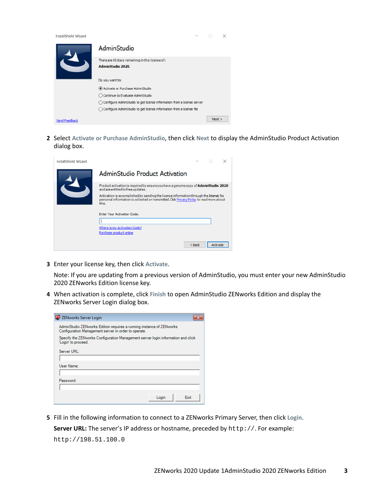| <b>InstallShield Wizard</b> | $\overline{\phantom{a}}$                                                 |        | × |  |
|-----------------------------|--------------------------------------------------------------------------|--------|---|--|
|                             | AdminStudio                                                              |        |   |  |
|                             | There are 60 days remaining in this license of:                          |        |   |  |
|                             | <b>AdminStudio 2020.</b>                                                 |        |   |  |
|                             | Do you want to:                                                          |        |   |  |
|                             | Activate or Purchase AdminStudio                                         |        |   |  |
|                             | ◯ Continue to Evaluate AdminStudio                                       |        |   |  |
|                             | ◯ Configure AdminStudio to get license information from a license server |        |   |  |
|                             | ◯ Configure AdminStudio to get license information from a license file   |        |   |  |
| Send Feedback               |                                                                          | Next > |   |  |

**2** Select **Activate or Purchase AdminStudio**, then click **Next** to display the AdminStudio Product Activation dialog box.

| InstallShield Wizard |                                                                                                                                                                                              |
|----------------------|----------------------------------------------------------------------------------------------------------------------------------------------------------------------------------------------|
|                      | AdminStudio Product Activation                                                                                                                                                               |
|                      | Product activation is required to ensureyou have a genuine copy of AdminStudio 2020<br>and are entitled to free updates.                                                                     |
|                      | Activation is accomplished by sending the license information through the Internet. No<br>personal information is collected or transmitted. Click Privacy Policy to read more about<br>this. |
|                      | <b>Enter Your Activation Code:</b>                                                                                                                                                           |
|                      |                                                                                                                                                                                              |
|                      | <b>Where is my Activation Code?</b>                                                                                                                                                          |
|                      | Purchase product online                                                                                                                                                                      |
|                      | $8$ Back<br>Activate                                                                                                                                                                         |

**3** Enter your license key, then click **Activate**.

Note: If you are updating from a previous version of AdminStudio, you must enter your new AdminStudio 2020 ZENworks Edition license key.

**4** When activation is complete, click **Finish** to open AdminStudio ZENworks Edition and display the ZENworks Server Login dialog box.

| ZENworks Server Login                                                                                                        |             |
|------------------------------------------------------------------------------------------------------------------------------|-------------|
| AdminStudio ZENworks Edition requires a running instance of ZENworks<br>Configuration Management server in order to operate. |             |
| Specify the ZENworks Configuration Management server login information and click<br>'Login' to proceed.                      |             |
| Server URI :                                                                                                                 |             |
|                                                                                                                              |             |
| User Name:                                                                                                                   |             |
|                                                                                                                              |             |
| Password:                                                                                                                    |             |
|                                                                                                                              |             |
| Login                                                                                                                        | <b>Fxit</b> |

**5** Fill in the following information to connect to a ZENworks Primary Server, then click **Login**. Server URL: The server's IP address or hostname, preceded by http://. For example: http://198.51.100.0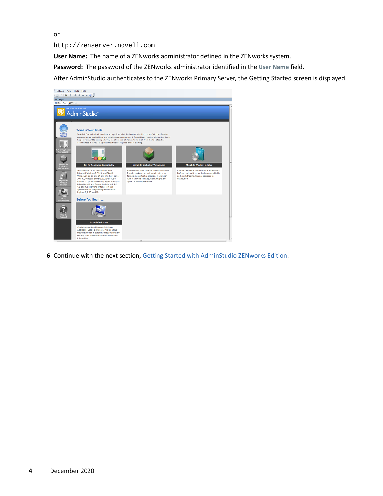or

http://zenserver.novell.com

**User Name:** The name of a ZENworks administrator defined in the ZENworks system.

**Password:** The password of the ZENworks administrator identified in the **User Name** field.

After AdminStudio authenticates to the ZENworks Primary Server, the Getting Started screen is displayed.

| Catalog View Tools Help<br><b>Start Page</b><br>A Start Page 2 Tools                                                         | $\bigcap_{i=1}^n$ 4 1 1 3 4 4 4 5 6 7<br><b>FLEXERA SOFTWARE®</b><br>AdminStudio                                                                                                                                                                                                                                                                                                                                                                                                                                                                                                                                                                                                                                                                                                                                                                                                                                |                                                                                                                                                                                                                                                                              |                                                                                                                                                                                                              |
|------------------------------------------------------------------------------------------------------------------------------|-----------------------------------------------------------------------------------------------------------------------------------------------------------------------------------------------------------------------------------------------------------------------------------------------------------------------------------------------------------------------------------------------------------------------------------------------------------------------------------------------------------------------------------------------------------------------------------------------------------------------------------------------------------------------------------------------------------------------------------------------------------------------------------------------------------------------------------------------------------------------------------------------------------------|------------------------------------------------------------------------------------------------------------------------------------------------------------------------------------------------------------------------------------------------------------------------------|--------------------------------------------------------------------------------------------------------------------------------------------------------------------------------------------------------------|
| <b>CAMPRON</b><br>Started<br>est for Application<br>Compatibility<br>Migrate to<br>Vopication<br><b>Agrate t</b><br>Virtuows | <b>What is Your Goal?</b><br>The AdminStudio tool set enables you to perform all of the tasks required to prepare Windows Installer<br>packages, virtual applications, and mobile apps for deployment. To quickly get started, click on the link of<br>the goal you want to accomplish. You can also access all AdminStudio tools from the Tools tab. It is<br>recommended that you set up the infrastructure required prior to starting.<br><b>Test for Application Compatibility</b><br>Test applications for compatibility with<br>Microsoft Windows 7 (32-bit and 64-bit).<br>Windows 8 (32-bit and 64-bit), Windows Server<br>2008 R2, Windows Server 2012, Apple iOS 6,<br>Apple iOS 7 (32-bit and 64-bit), Apple iOS 8 (32-<br>bit and 64-bit), and Google Android (4.1, 4.2,<br>4.3, and 4.4) operating systems. Test web<br>applications for compatibility with Internet<br>Explorer 8, 9, 10, and 11. | <b>Migrate to Application Virtualization</b><br>Automatically repackage and convert Windows<br>Installer packages, as well as setups in other<br>formats, into virtual applications in Microsoft<br>App-V, VMware ThinApp, Citrix XenApp, and<br>Symantec Workspace formats. | <b>Migrate to Windows Installer</b><br>Capture, repackage, and customize installations.<br>Perform best practices, application compatibility,<br>and conflict testing. Prepare packages for<br>distribution. |
|                                                                                                                              | Before You Begin<br><b>Set Up Infrastructure</b><br>Create/connect to a Microsoft SQL Server<br>Application Catalog database. Prepare virtual<br>machines for use in automated repackaging and<br>testing. Enter server and database connection<br>information.                                                                                                                                                                                                                                                                                                                                                                                                                                                                                                                                                                                                                                                 | $\overline{1}$                                                                                                                                                                                                                                                               |                                                                                                                                                                                                              |

**6** Continue with the next section, [Getting Started with AdminStudio ZENworks Edition](#page-4-0).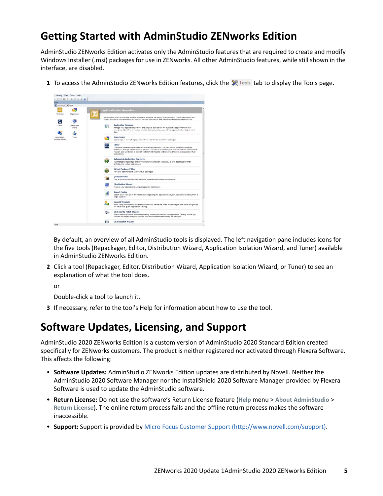## <span id="page-4-0"></span>**Getting Started with AdminStudio ZENworks Edition**

AdminStudio ZENworks Edition activates only the AdminStudio features that are required to create and modify Windows Installer (.msi) packages for use in ZENworks. All other AdminStudio features, while still shown in the interface, are disabled.

**1** To access the AdminStudio ZENworks Edition features, click the  $\mathbb{X}^n$  Tools tab to display the Tools page.



By default, an overview of all AdminStudio tools is displayed. The left navigation pane includes icons for the five tools (Repackager, Editor, Distribution Wizard, Application Isolation Wizard, and Tuner) available in AdminStudio ZENworks Edition.

**2** Click a tool (Repackager, Editor, Distribution Wizard, Application Isolation Wizard, or Tuner) to see an explanation of what the tool does.

or

Double-click a tool to launch it.

**3** If necessary, refer to the tool's Help for information about how to use the tool.

#### **Software Updates, Licensing, and Support**

AdminStudio 2020 ZENworks Edition is a custom version of AdminStudio 2020 Standard Edition created specifically for ZENworks customers. The product is neither registered nor activated through Flexera Software. This affects the following:

- **Software Updates:** AdminStudio ZENworks Edition updates are distributed by Novell. Neither the AdminStudio 2020 Software Manager nor the InstallShield 2020 Software Manager provided by Flexera Software is used to update the AdminStudio software.
- **Return License:** Do not use the software's Return License feature (**Help** menu > **About AdminStudio** > **Return License**). The online return process fails and the offline return process makes the software inaccessible.
- **Support:** Support is provided by [Micro Focus Customer Support](http://www.novell.com/support) (http://www.novell.com/support).